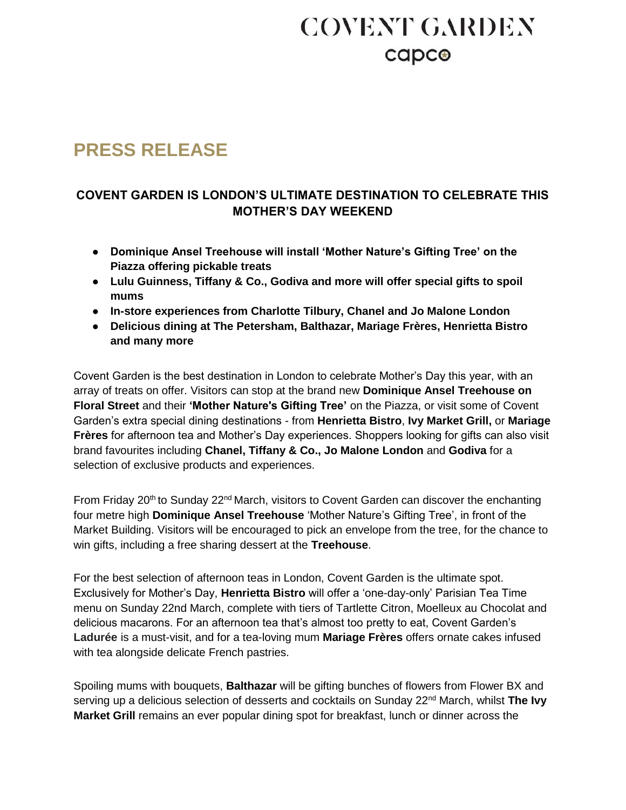# **COVENT GARDEN** capco

### **PRESS RELEASE**

### **COVENT GARDEN IS LONDON'S ULTIMATE DESTINATION TO CELEBRATE THIS MOTHER'S DAY WEEKEND**

- **Dominique Ansel Treehouse will install 'Mother Nature's Gifting Tree' on the Piazza offering pickable treats**
- **Lulu Guinness, Tiffany & Co., Godiva and more will offer special gifts to spoil mums**
- **In-store experiences from Charlotte Tilbury, Chanel and Jo Malone London**
- **Delicious dining at The Petersham, Balthazar, Mariage Frères, Henrietta Bistro and many more**

Covent Garden is the best destination in London to celebrate Mother's Day this year, with an array of treats on offer. Visitors can stop at the brand new **Dominique Ansel Treehouse on Floral Street** and their **'Mother Nature's Gifting Tree'** on the Piazza, or visit some of Covent Garden's extra special dining destinations - from **Henrietta Bistro**, **Ivy Market Grill,** or **Mariage Frères** for afternoon tea and Mother's Day experiences. Shoppers looking for gifts can also visit brand favourites including **Chanel, Tiffany & Co., Jo Malone London** and **Godiva** for a selection of exclusive products and experiences.

From Friday 20<sup>th</sup> to Sunday 22<sup>nd</sup> March, visitors to Covent Garden can discover the enchanting four metre high **Dominique Ansel Treehouse** 'Mother Nature's Gifting Tree', in front of the Market Building. Visitors will be encouraged to pick an envelope from the tree, for the chance to win gifts, including a free sharing dessert at the **Treehouse**.

For the best selection of afternoon teas in London, Covent Garden is the ultimate spot. Exclusively for Mother's Day, **Henrietta Bistro** will offer a 'one-day-only' Parisian Tea Time menu on Sunday 22nd March, complete with tiers of Tartlette Citron, Moelleux au Chocolat and delicious macarons. For an afternoon tea that's almost too pretty to eat, Covent Garden's **Ladurée** is a must-visit, and for a tea-loving mum **Mariage Frères** offers ornate cakes infused with tea alongside delicate French pastries.

Spoiling mums with bouquets, **Balthazar** will be gifting bunches of flowers from Flower BX and serving up a delicious selection of desserts and cocktails on Sunday 22nd March, whilst **The Ivy Market Grill** remains an ever popular dining spot for breakfast, lunch or dinner across the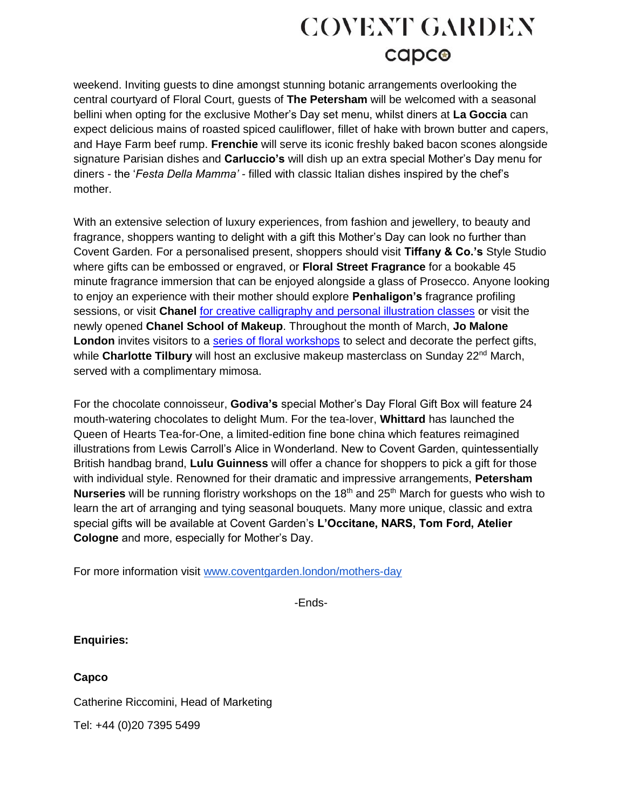# **COVENT GARDEN** capco

weekend. Inviting guests to dine amongst stunning botanic arrangements overlooking the central courtyard of Floral Court, guests of **The Petersham** will be welcomed with a seasonal bellini when opting for the exclusive Mother's Day set menu, whilst diners at **La Goccia** can expect delicious mains of roasted spiced cauliflower, fillet of hake with brown butter and capers, and Haye Farm beef rump. **Frenchie** will serve its iconic freshly baked bacon scones alongside signature Parisian dishes and **Carluccio's** will dish up an extra special Mother's Day menu for diners - the '*Festa Della Mamma' -* filled with classic Italian dishes inspired by the chef's mother.

With an extensive selection of luxury experiences, from fashion and jewellery, to beauty and fragrance, shoppers wanting to delight with a gift this Mother's Day can look no further than Covent Garden. For a personalised present, shoppers should visit **Tiffany & Co.'s** Style Studio where gifts can be embossed or engraved, or **Floral Street Fragrance** for a bookable 45 minute fragrance immersion that can be enjoyed alongside a glass of Prosecco. Anyone looking to enjoy an experience with their mother should explore **Penhaligon's** fragrance profiling sessions, or visit **Chanel** [for creative calligraphy and personal illustration classes](https://www.coventgarden.london/whats-on/chanel-mothers-day) or visit the newly opened **Chanel School of Makeup**. Throughout the month of March, **Jo Malone London** invites visitors to a [series of floral workshops](https://www.coventgarden.london/whats-on/jo-malone-events-march) to select and decorate the perfect gifts, while **Charlotte Tilbury** will host an exclusive makeup masterclass on Sunday 22<sup>nd</sup> March, served with a complimentary mimosa.

For the chocolate connoisseur, **Godiva's** special Mother's Day Floral Gift Box will feature 24 mouth-watering chocolates to delight Mum. For the tea-lover, **Whittard** has launched the Queen of Hearts Tea-for-One, a limited-edition fine bone china which features reimagined illustrations from Lewis Carroll's Alice in Wonderland. New to Covent Garden, quintessentially British handbag brand, **Lulu Guinness** will offer a chance for shoppers to pick a gift for those with individual style. Renowned for their dramatic and impressive arrangements, **Petersham Nurseries** will be running floristry workshops on the 18<sup>th</sup> and 25<sup>th</sup> March for quests who wish to learn the art of arranging and tying seasonal bouquets. Many more unique, classic and extra special gifts will be available at Covent Garden's **L'Occitane, NARS, Tom Ford, Atelier Cologne** and more, especially for Mother's Day.

For more information visit [www.coventgarden.london/mothers-day](https://www.coventgarden.london/mothers-day)

-Ends-

**Enquiries:** 

**Capco** 

Catherine Riccomini, Head of Marketing

Tel: +44 (0)20 7395 5499